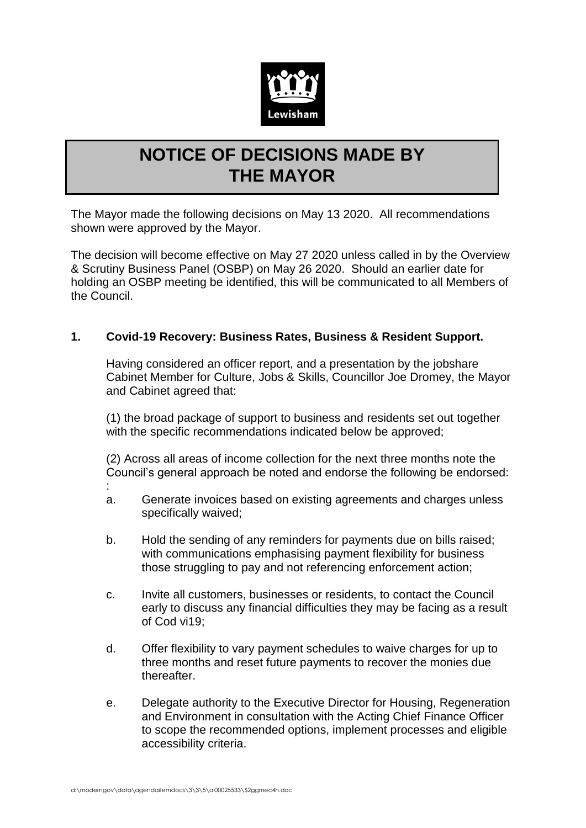

## **NOTICE OF DECISIONS MADE BY THE MAYOR**

The Mayor made the following decisions on May 13 2020. All recommendations shown were approved by the Mayor.

The decision will become effective on May 27 2020 unless called in by the Overview & Scrutiny Business Panel (OSBP) on May 26 2020. Should an earlier date for holding an OSBP meeting be identified, this will be communicated to all Members of the Council.

## **1. Covid-19 Recovery: Business Rates, Business & Resident Support.**

Having considered an officer report, and a presentation by the jobshare Cabinet Member for Culture, Jobs & Skills, Councillor Joe Dromey, the Mayor and Cabinet agreed that:

(1) the broad package of support to business and residents set out together with the specific recommendations indicated below be approved;

(2) Across all areas of income collection for the next three months note the Council's general approach be noted and endorse the following be endorsed:

- :
- a. Generate invoices based on existing agreements and charges unless specifically waived;
- b. Hold the sending of any reminders for payments due on bills raised; with communications emphasising payment flexibility for business those struggling to pay and not referencing enforcement action;
- c. Invite all customers, businesses or residents, to contact the Council early to discuss any financial difficulties they may be facing as a result of Cod vi19;
- d. Offer flexibility to vary payment schedules to waive charges for up to three months and reset future payments to recover the monies due thereafter.
- e. Delegate authority to the Executive Director for Housing, Regeneration and Environment in consultation with the Acting Chief Finance Officer to scope the recommended options, implement processes and eligible accessibility criteria.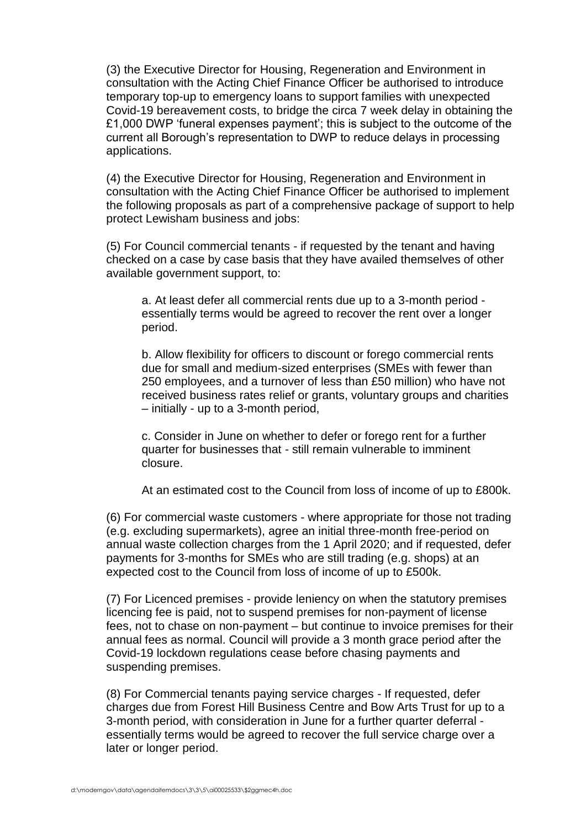(3) the Executive Director for Housing, Regeneration and Environment in consultation with the Acting Chief Finance Officer be authorised to introduce temporary top-up to emergency loans to support families with unexpected Covid-19 bereavement costs, to bridge the circa 7 week delay in obtaining the £1,000 DWP 'funeral expenses payment'; this is subject to the outcome of the current all Borough's representation to DWP to reduce delays in processing applications.

(4) the Executive Director for Housing, Regeneration and Environment in consultation with the Acting Chief Finance Officer be authorised to implement the following proposals as part of a comprehensive package of support to help protect Lewisham business and jobs:

(5) For Council commercial tenants - if requested by the tenant and having checked on a case by case basis that they have availed themselves of other available government support, to:

a. At least defer all commercial rents due up to a 3-month period essentially terms would be agreed to recover the rent over a longer period.

b. Allow flexibility for officers to discount or forego commercial rents due for small and medium-sized enterprises (SMEs with fewer than 250 employees, and a turnover of less than £50 million) who have not received business rates relief or grants, voluntary groups and charities – initially - up to a 3-month period,

c. Consider in June on whether to defer or forego rent for a further quarter for businesses that - still remain vulnerable to imminent closure.

At an estimated cost to the Council from loss of income of up to £800k.

(6) For commercial waste customers - where appropriate for those not trading (e.g. excluding supermarkets), agree an initial three-month free-period on annual waste collection charges from the 1 April 2020; and if requested, defer payments for 3-months for SMEs who are still trading (e.g. shops) at an expected cost to the Council from loss of income of up to £500k.

(7) For Licenced premises - provide leniency on when the statutory premises licencing fee is paid, not to suspend premises for non-payment of license fees, not to chase on non-payment – but continue to invoice premises for their annual fees as normal. Council will provide a 3 month grace period after the Covid-19 lockdown regulations cease before chasing payments and suspending premises.

(8) For Commercial tenants paying service charges - If requested, defer charges due from Forest Hill Business Centre and Bow Arts Trust for up to a 3-month period, with consideration in June for a further quarter deferral essentially terms would be agreed to recover the full service charge over a later or longer period.